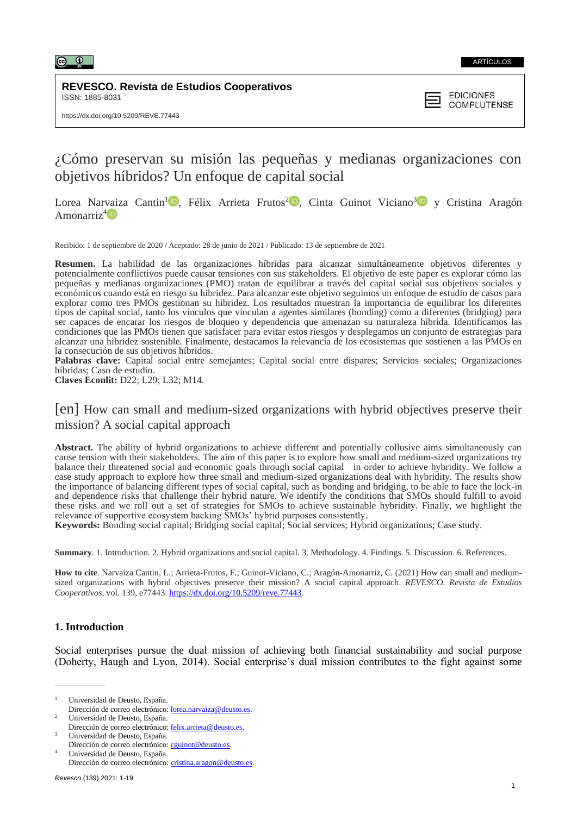

## **REVESCO. Revista de Estudios Cooperativos** ISSN: 1885-8031

**EDICIONES COMPLUTENSE** 

# ¿Cómo preservan su misión las pequeñas y medianas organizaciones con objetivos híbridos? Un enfoque de capital social

Lorea Narvaiza Cantin<sup>1</sup><sup>D</sup>[,](https://orcid.org/0000-0002-2010-4064) Félix Arrieta Frutos<sup>2</sup><sup>D</sup>, Cinta Guinot Viciano<sup>[3](https://orcid.org/0000-0002-5470-8229)</sup>D y Cristina Aragón Amonarriz<sup>[4](https://orcid.org/0000-0002-2596-9104)</sup> $\blacksquare$ 

Recibido: 1 de septiembre de 2020 / Aceptado: 28 de junio de 2021 / Publicado: 13 de septiembre de 2021

**Resumen.** La habilidad de las organizaciones híbridas para alcanzar simultáneamente objetivos diferentes y potencialmente conflictivos puede causar tensiones con sus stakeholders. El objetivo de este paper es explorar cómo las pequeñas y medianas organizaciones (PMO) tratan de equilibrar a través del capital social sus objetivos sociales y económicos cuando está en riesgo su hibridez. Para alcanzar este objetivo seguimos un enfoque de estudio de casos para explorar como tres PMOs gestionan su hibridez. Los resultados muestran la importancia de equilibrar los diferentes tipos de capital social, tanto los vínculos que vinculan a agentes similares (bonding) como a diferentes (bridging) para ser capaces de encarar los riesgos de bloqueo y dependencia que amenazan su naturaleza híbrida. Identificamos las condiciones que las PMOs tienen que satisfacer para evitar estos riesgos y desplegamos un conjunto de estrategias para alcanzar una hibridez sostenible. Finalmente, destacamos la relevancia de los ecosistemas que sostienen a las PMOs en la consecución de sus objetivos híbridos.

**Palabras clave:** Capital social entre semejantes; Capital social entre dispares; Servicios sociales; Organizaciones híbridas; Caso de estudio.

**Claves Econlit:** D22; L29; L32; M14*.*

# [en] How can small and medium-sized organizations with hybrid objectives preserve their mission? A social capital approach

**Abstract.** The ability of hybrid organizations to achieve different and potentially collusive aims simultaneously can cause tension with their stakeholders. The aim of this paper is to explore how small and medium-sized organizations try balance their threatened social and economic goals through social capital in order to achieve hybridity. We follow a case study approach to explore how three small and medium-sized organizations deal with hybridity. The results show the importance of balancing different types of social capital, such as bonding and bridging, to be able to face the lock-in and dependence risks that challenge their hybrid nature. We identify the conditions that SMOs should fulfill to avoid these risks and we roll out a set of strategies for SMOs to achieve sustainable hybridity. Finally, we highlight the relevance of supportive ecosystem backing SMOs' hybrid purposes consistently.

**Keywords:** Bonding social capital; Bridging social capital; Social services; Hybrid organizations; Case study.

**Summary**. 1. Introduction. 2. Hybrid organizations and social capital. 3. Methodology. 4. Findings. 5. Discussion. 6. References.

**How to cite**. Narvaiza Cantin, L.; Arrieta-Frutos, F.; Guinot-Viciano, C.; Aragón-Amonarriz, C. (2021) How can small and mediumsized organizations with hybrid objectives preserve their mission? A social capital approach. *REVESCO. Revista de Estudios Cooperativos*, vol. 139, e77443. [https://dx.doi.org/10.5209/reve.77443.](https://dx.doi.org/10.5209/reve.77443)

# **1. Introduction**

\_\_\_\_\_\_\_\_\_\_\_\_\_

Social enterprises pursue the dual mission of achieving both financial sustainability and social purpose (Doherty, Haugh and Lyon, 2014). Social enterprise's dual mission contributes to the fight against some

<sup>1</sup> Universidad de Deusto, España.

Dirección de correo electrónico: [cguinot@deusto.es.](mailto:cguinot@deusto.es) <sup>4</sup> Universidad de Deusto, España.

Dirección de correo electrónico: [lorea.narvaiza@deusto.es.](mailto:lorea.narvaiza@deusto.es) <sup>2</sup> Universidad de Deusto, España.

Dirección de correo electrónico: felix.arrieta@deusto.es <sup>3</sup> Universidad de Deusto, España.

Dirección de correo electrónico: [cristina.aragon@deusto.es.](mailto:cristina.aragon@deusto.es)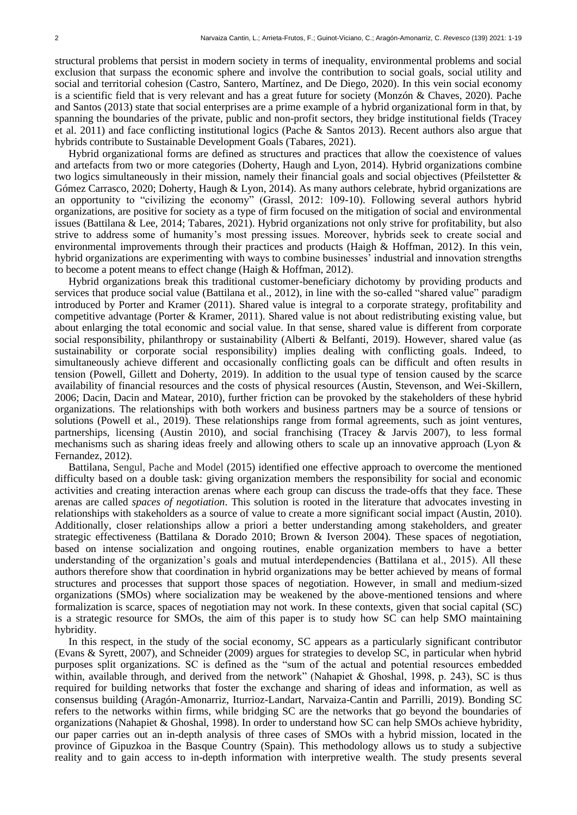structural problems that persist in modern society in terms of inequality, environmental problems and social exclusion that surpass the economic sphere and involve the contribution to social goals, social utility and social and territorial cohesion (Castro, Santero, Martínez, and De Diego, 2020). In this vein social economy is a scientific field that is very relevant and has a great future for society (Monzón & Chaves, 2020). Pache and Santos (2013) state that social enterprises are a prime example of a hybrid organizational form in that, by spanning the boundaries of the private, public and non-profit sectors, they bridge institutional fields (Tracey et al. 2011) and face conflicting institutional logics (Pache & Santos 2013). Recent authors also argue that hybrids contribute to Sustainable Development Goals (Tabares, 2021).

Hybrid organizational forms are defined as structures and practices that allow the coexistence of values and artefacts from two or more categories (Doherty, Haugh and Lyon, 2014). Hybrid organizations combine two logics simultaneously in their mission, namely their financial goals and social objectives (Pfeilstetter & Gómez Carrasco, 2020; Doherty, Haugh & Lyon, 2014). As many authors celebrate, hybrid organizations are an opportunity to "civilizing the economy" (Grassl, 2012: 109-10). Following several authors hybrid organizations, are positive for society as a type of firm focused on the mitigation of social and environmental issues (Battilana & Lee, 2014; Tabares, 2021). Hybrid organizations not only strive for profitability, but also strive to address some of humanity's most pressing issues. Moreover, hybrids seek to create social and environmental improvements through their practices and products (Haigh & Hoffman, 2012). In this vein, hybrid organizations are experimenting with ways to combine businesses' industrial and innovation strengths to become a potent means to effect change (Haigh & Hoffman, 2012).

Hybrid organizations break this traditional customer-beneficiary dichotomy by providing products and services that produce social value (Battilana et al., 2012), in line with the so-called "shared value" paradigm introduced by Porter and Kramer (2011). Shared value is integral to a corporate strategy, profitability and competitive advantage (Porter & Kramer, 2011). Shared value is not about redistributing existing value, but about enlarging the total economic and social value. In that sense, shared value is different from corporate social responsibility, philanthropy or sustainability (Alberti & Belfanti, 2019). However, shared value (as sustainability or corporate social responsibility) implies dealing with conflicting goals. Indeed, to simultaneously achieve different and occasionally conflicting goals can be difficult and often results in tension (Powell, Gillett and Doherty, 2019). In addition to the usual type of tension caused by the scarce availability of financial resources and the costs of physical resources (Austin, Stevenson, and Wei-Skillern, 2006; Dacin, Dacin and Matear, 2010), further friction can be provoked by the stakeholders of these hybrid organizations. The relationships with both workers and business partners may be a source of tensions or solutions (Powell et al., 2019). These relationships range from formal agreements, such as joint ventures, partnerships, licensing (Austin 2010), and social franchising (Tracey & Jarvis 2007), to less formal mechanisms such as sharing ideas freely and allowing others to scale up an innovative approach (Lyon & Fernandez, 2012).

Battilana, Sengul, Pache and Model (2015) identified one effective approach to overcome the mentioned difficulty based on a double task: giving organization members the responsibility for social and economic activities and creating interaction arenas where each group can discuss the trade-offs that they face. These arenas are called *spaces of negotiation*. This solution is rooted in the literature that advocates investing in relationships with stakeholders as a source of value to create a more significant social impact (Austin, 2010). Additionally, closer relationships allow a priori a better understanding among stakeholders, and greater strategic effectiveness (Battilana & Dorado 2010; Brown & Iverson 2004). These spaces of negotiation, based on intense socialization and ongoing routines, enable organization members to have a better understanding of the organization's goals and mutual interdependencies (Battilana et al., 2015). All these authors therefore show that coordination in hybrid organizations may be better achieved by means of formal structures and processes that support those spaces of negotiation. However, in small and medium-sized organizations (SMOs) where socialization may be weakened by the above-mentioned tensions and where formalization is scarce, spaces of negotiation may not work. In these contexts, given that social capital (SC) is a strategic resource for SMOs, the aim of this paper is to study how SC can help SMO maintaining hybridity.

In this respect, in the study of the social economy, SC appears as a particularly significant contributor (Evans & Syrett, 2007), and Schneider (2009) argues for strategies to develop SC, in particular when hybrid purposes split organizations. SC is defined as the "sum of the actual and potential resources embedded within, available through, and derived from the network" (Nahapiet & Ghoshal, 1998, p. 243), SC is thus required for building networks that foster the exchange and sharing of ideas and information, as well as consensus building (Aragón-Amonarriz, Iturrioz-Landart, Narvaiza-Cantin and Parrilli, 2019). Bonding SC refers to the networks within firms, while bridging SC are the networks that go beyond the boundaries of organizations (Nahapiet & Ghoshal, 1998). In order to understand how SC can help SMOs achieve hybridity, our paper carries out an in-depth analysis of three cases of SMOs with a hybrid mission, located in the province of Gipuzkoa in the Basque Country (Spain). This methodology allows us to study a subjective reality and to gain access to in-depth information with interpretive wealth. The study presents several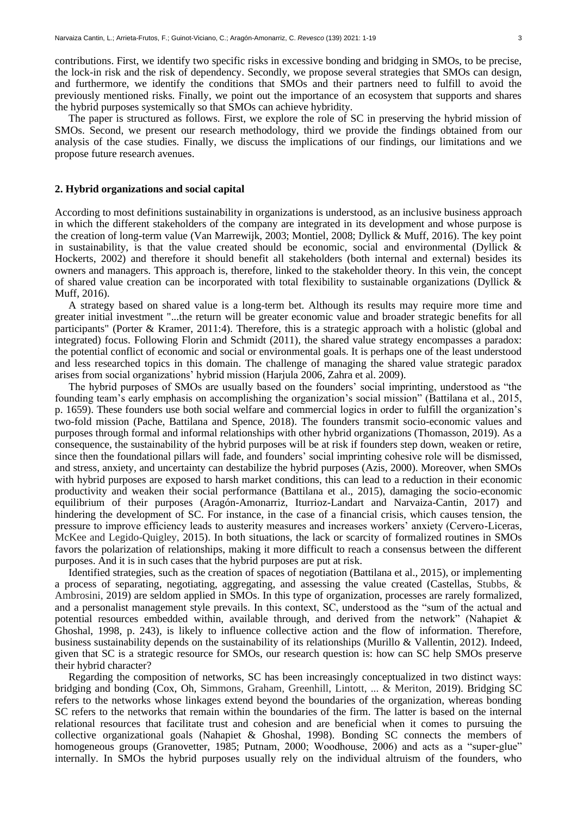contributions. First, we identify two specific risks in excessive bonding and bridging in SMOs, to be precise, the lock-in risk and the risk of dependency. Secondly, we propose several strategies that SMOs can design, and furthermore, we identify the conditions that SMOs and their partners need to fulfill to avoid the previously mentioned risks. Finally, we point out the importance of an ecosystem that supports and shares the hybrid purposes systemically so that SMOs can achieve hybridity.

The paper is structured as follows. First, we explore the role of SC in preserving the hybrid mission of SMOs. Second, we present our research methodology, third we provide the findings obtained from our analysis of the case studies. Finally, we discuss the implications of our findings, our limitations and we propose future research avenues.

#### **2. Hybrid organizations and social capital**

According to most definitions sustainability in organizations is understood, as an inclusive business approach in which the different stakeholders of the company are integrated in its development and whose purpose is the creation of long-term value (Van Marrewijk, 2003; Montiel, 2008; Dyllick & Muff, 2016). The key point in sustainability, is that the value created should be economic, social and environmental (Dyllick  $\&$ Hockerts, 2002) and therefore it should benefit all stakeholders (both internal and external) besides its owners and managers. This approach is, therefore, linked to the stakeholder theory. In this vein, the concept of shared value creation can be incorporated with total flexibility to sustainable organizations (Dyllick & Muff, 2016).

A strategy based on shared value is a long-term bet. Although its results may require more time and greater initial investment "...the return will be greater economic value and broader strategic benefits for all participants" (Porter & Kramer, 2011:4). Therefore, this is a strategic approach with a holistic (global and integrated) focus. Following Florin and Schmidt (2011), the shared value strategy encompasses a paradox: the potential conflict of economic and social or environmental goals. It is perhaps one of the least understood and less researched topics in this domain. The challenge of managing the shared value strategic paradox arises from social organizations' hybrid mission (Harjula 2006, Zahra et al. 2009).

The hybrid purposes of SMOs are usually based on the founders' social imprinting, understood as "the founding team's early emphasis on accomplishing the organization's social mission" (Battilana et al., 2015, p. 1659). These founders use both social welfare and commercial logics in order to fulfill the organization's two-fold mission (Pache, Battilana and Spence, 2018). The founders transmit socio-economic values and purposes through formal and informal relationships with other hybrid organizations (Thomasson, 2019). As a consequence, the sustainability of the hybrid purposes will be at risk if founders step down, weaken or retire, since then the foundational pillars will fade, and founders' social imprinting cohesive role will be dismissed, and stress, anxiety, and uncertainty can destabilize the hybrid purposes (Azis, 2000). Moreover, when SMOs with hybrid purposes are exposed to harsh market conditions, this can lead to a reduction in their economic productivity and weaken their social performance (Battilana et al., 2015), damaging the socio-economic equilibrium of their purposes (Aragón-Amonarriz, Iturrioz-Landart and Narvaiza-Cantin, 2017) and hindering the development of SC. For instance, in the case of a financial crisis, which causes tension, the pressure to improve efficiency leads to austerity measures and increases workers' anxiety (Cervero-Liceras, McKee and Legido-Quigley, 2015). In both situations, the lack or scarcity of formalized routines in SMOs favors the polarization of relationships, making it more difficult to reach a consensus between the different purposes. And it is in such cases that the hybrid purposes are put at risk.

Identified strategies, such as the creation of spaces of negotiation (Battilana et al., 2015), or implementing a process of separating, negotiating, aggregating, and assessing the value created (Castellas, Stubbs, & Ambrosini, 2019) are seldom applied in SMOs. In this type of organization, processes are rarely formalized, and a personalist management style prevails. In this context, SC, understood as the "sum of the actual and potential resources embedded within, available through, and derived from the network" (Nahapiet & Ghoshal, 1998, p. 243), is likely to influence collective action and the flow of information. Therefore, business sustainability depends on the sustainability of its relationships (Murillo & Vallentin, 2012). Indeed, given that SC is a strategic resource for SMOs, our research question is: how can SC help SMOs preserve their hybrid character?

Regarding the composition of networks, SC has been increasingly conceptualized in two distinct ways: bridging and bonding (Cox, Oh, Simmons, Graham, Greenhill, Lintott, ... & Meriton, 2019). Bridging SC refers to the networks whose linkages extend beyond the boundaries of the organization, whereas bonding SC refers to the networks that remain within the boundaries of the firm. The latter is based on the internal relational resources that facilitate trust and cohesion and are beneficial when it comes to pursuing the collective organizational goals (Nahapiet & Ghoshal, 1998). Bonding SC connects the members of homogeneous groups (Granovetter, 1985; Putnam, 2000; Woodhouse, 2006) and acts as a "super-glue" internally. In SMOs the hybrid purposes usually rely on the individual altruism of the founders, who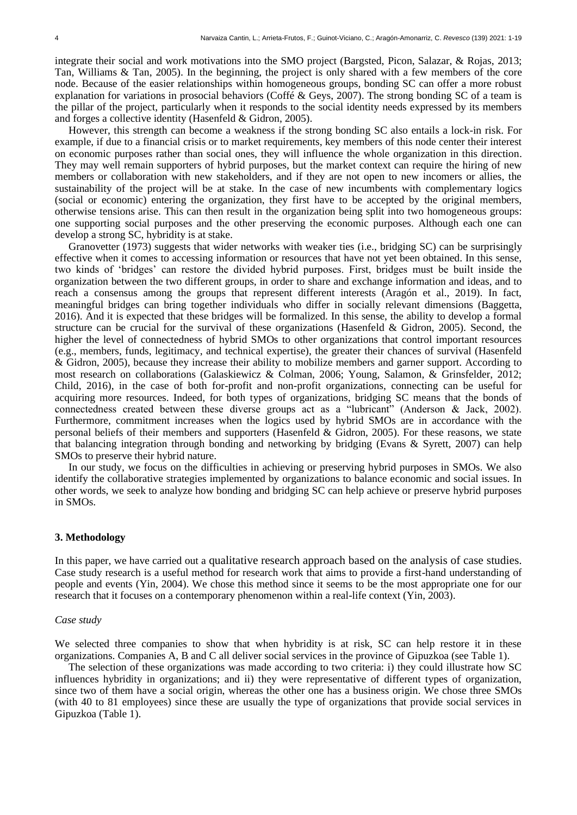integrate their social and work motivations into the SMO project (Bargsted, Picon, Salazar, & Rojas, 2013; Tan, Williams & Tan, 2005). In the beginning, the project is only shared with a few members of the core node. Because of the easier relationships within homogeneous groups, bonding SC can offer a more robust explanation for variations in prosocial behaviors (Coffé & Geys, 2007). The strong bonding SC of a team is the pillar of the project, particularly when it responds to the social identity needs expressed by its members and forges a collective identity (Hasenfeld & Gidron, 2005).

However, this strength can become a weakness if the strong bonding SC also entails a lock-in risk. For example, if due to a financial crisis or to market requirements, key members of this node center their interest on economic purposes rather than social ones, they will influence the whole organization in this direction. They may well remain supporters of hybrid purposes, but the market context can require the hiring of new members or collaboration with new stakeholders, and if they are not open to new incomers or allies, the sustainability of the project will be at stake. In the case of new incumbents with complementary logics (social or economic) entering the organization, they first have to be accepted by the original members, otherwise tensions arise. This can then result in the organization being split into two homogeneous groups: one supporting social purposes and the other preserving the economic purposes. Although each one can develop a strong SC, hybridity is at stake.

Granovetter (1973) suggests that wider networks with weaker ties (i.e., bridging SC) can be surprisingly effective when it comes to accessing information or resources that have not yet been obtained. In this sense, two kinds of 'bridges' can restore the divided hybrid purposes. First, bridges must be built inside the organization between the two different groups, in order to share and exchange information and ideas, and to reach a consensus among the groups that represent different interests (Aragón et al., 2019). In fact, meaningful bridges can bring together individuals who differ in socially relevant dimensions (Baggetta, 2016). And it is expected that these bridges will be formalized. In this sense, the ability to develop a formal structure can be crucial for the survival of these organizations (Hasenfeld & Gidron, 2005). Second, the higher the level of connectedness of hybrid SMOs to other organizations that control important resources (e.g., members, funds, legitimacy, and technical expertise), the greater their chances of survival (Hasenfeld & Gidron, 2005), because they increase their ability to mobilize members and garner support. According to most research on collaborations (Galaskiewicz & Colman, 2006; Young, Salamon, & Grinsfelder, 2012; Child, 2016), in the case of both for-profit and non-profit organizations, connecting can be useful for acquiring more resources. Indeed, for both types of organizations, bridging SC means that the bonds of connectedness created between these diverse groups act as a "lubricant" (Anderson & Jack, 2002). Furthermore, commitment increases when the logics used by hybrid SMOs are in accordance with the personal beliefs of their members and supporters (Hasenfeld & Gidron, 2005). For these reasons, we state that balancing integration through bonding and networking by bridging (Evans & Syrett, 2007) can help SMOs to preserve their hybrid nature.

In our study, we focus on the difficulties in achieving or preserving hybrid purposes in SMOs. We also identify the collaborative strategies implemented by organizations to balance economic and social issues. In other words, we seek to analyze how bonding and bridging SC can help achieve or preserve hybrid purposes in SMOs.

# **3. Methodology**

In this paper, we have carried out a qualitative research approach based on the analysis of case studies. Case study research is a useful method for research work that aims to provide a first-hand understanding of people and events (Yin, 2004). We chose this method since it seems to be the most appropriate one for our research that it focuses on a contemporary phenomenon within a real-life context (Yin, 2003).

## *Case study*

We selected three companies to show that when hybridity is at risk. SC can help restore it in these organizations. Companies A, B and C all deliver social services in the province of Gipuzkoa (see Table 1).

The selection of these organizations was made according to two criteria: i) they could illustrate how SC influences hybridity in organizations; and ii) they were representative of different types of organization, since two of them have a social origin, whereas the other one has a business origin. We chose three SMOs (with 40 to 81 employees) since these are usually the type of organizations that provide social services in Gipuzkoa (Table 1).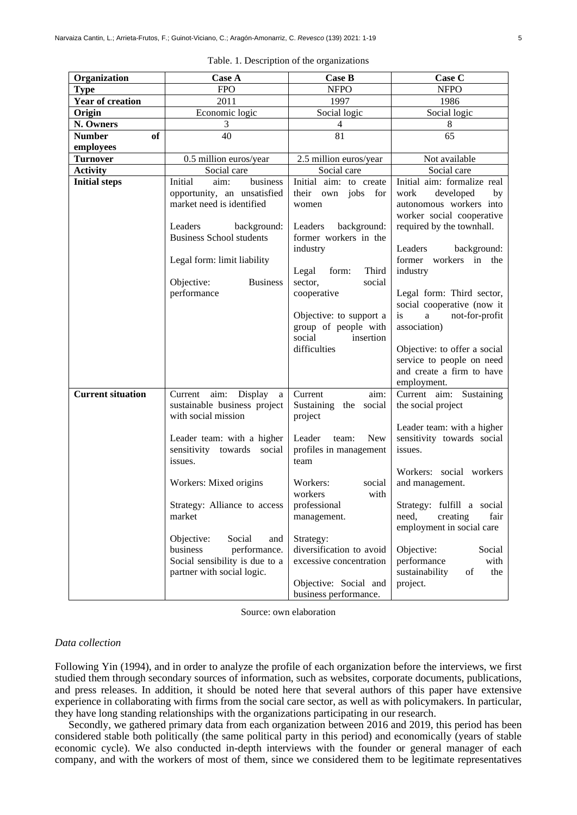| Organization             | <b>Case A</b>                                           | <b>Case B</b>                                   | Case C                                             |
|--------------------------|---------------------------------------------------------|-------------------------------------------------|----------------------------------------------------|
| <b>Type</b>              | <b>FPO</b>                                              | <b>NFPO</b>                                     | <b>NFPO</b>                                        |
| <b>Year of creation</b>  | 2011                                                    | 1997                                            | 1986                                               |
| Origin                   | Economic logic                                          | Social logic                                    | Social logic                                       |
| N. Owners                | $\mathfrak{Z}$                                          | $\overline{4}$                                  | 8                                                  |
| of<br><b>Number</b>      | 40                                                      | 81                                              | 65                                                 |
| employees                |                                                         |                                                 |                                                    |
| <b>Turnover</b>          | 0.5 million euros/year                                  | 2.5 million euros/year                          | Not available                                      |
| <b>Activity</b>          | Social care                                             | Social care                                     | Social care                                        |
| <b>Initial steps</b>     | business<br>Initial<br>aim:                             | Initial aim: to create                          | Initial aim: formalize real                        |
|                          | opportunity, an unsatisfied                             | their own jobs for                              | work<br>developed<br>by                            |
|                          | market need is identified                               | women                                           | autonomous workers into                            |
|                          |                                                         |                                                 | worker social cooperative                          |
|                          | Leaders<br>background:                                  | Leaders<br>background:                          | required by the townhall.                          |
|                          | <b>Business School students</b>                         | former workers in the                           |                                                    |
|                          |                                                         | industry                                        | Leaders<br>background:                             |
|                          | Legal form: limit liability                             |                                                 | former workers in the                              |
|                          |                                                         | Third<br>Legal<br>form:                         | industry                                           |
|                          | Objective:<br><b>Business</b>                           | sector,<br>social                               |                                                    |
|                          | performance                                             | cooperative                                     | Legal form: Third sector,                          |
|                          |                                                         |                                                 | social cooperative (now it                         |
|                          |                                                         | Objective: to support a<br>group of people with | not-for-profit<br><i>is</i><br>a a<br>association) |
|                          |                                                         | social<br>insertion                             |                                                    |
|                          |                                                         | difficulties                                    | Objective: to offer a social                       |
|                          |                                                         |                                                 | service to people on need                          |
|                          |                                                         |                                                 | and create a firm to have                          |
|                          |                                                         |                                                 | employment.                                        |
| <b>Current situation</b> | Current aim:<br>Display<br>$\rm{a}$                     | Current<br>aim:                                 | Current aim: Sustaining                            |
|                          | sustainable business project                            | Sustaining the social                           | the social project                                 |
|                          | with social mission                                     | project                                         |                                                    |
|                          |                                                         |                                                 | Leader team: with a higher                         |
|                          | Leader team: with a higher                              | Leader<br><b>New</b><br>team:                   | sensitivity towards social                         |
|                          | sensitivity towards social                              | profiles in management                          | issues.                                            |
|                          | issues.                                                 | team                                            |                                                    |
|                          |                                                         |                                                 | Workers: social workers                            |
|                          | Workers: Mixed origins                                  | Workers:<br>social                              | and management.                                    |
|                          |                                                         | workers<br>with                                 |                                                    |
|                          | Strategy: Alliance to access                            | professional                                    | Strategy: fulfill a social                         |
|                          | market                                                  | management.                                     | need,<br>creating<br>fair                          |
|                          |                                                         |                                                 | employment in social care                          |
|                          | Objective:<br>Social<br>and<br>business<br>performance. | Strategy:<br>diversification to avoid           | Objective:<br>Social                               |
|                          | Social sensibility is due to a                          | excessive concentration                         | performance<br>with                                |
|                          | partner with social logic.                              |                                                 | sustainability<br>of<br>the                        |
|                          |                                                         | Objective: Social and                           | project.                                           |
|                          |                                                         | business performance.                           |                                                    |

Table. 1. Description of the organizations

Source: own elaboration

#### *Data collection*

Following Yin (1994), and in order to analyze the profile of each organization before the interviews, we first studied them through secondary sources of information, such as websites, corporate documents, publications, and press releases. In addition, it should be noted here that several authors of this paper have extensive experience in collaborating with firms from the social care sector, as well as with policymakers. In particular, they have long standing relationships with the organizations participating in our research.

Secondly, we gathered primary data from each organization between 2016 and 2019, this period has been considered stable both politically (the same political party in this period) and economically (years of stable economic cycle). We also conducted in-depth interviews with the founder or general manager of each company, and with the workers of most of them, since we considered them to be legitimate representatives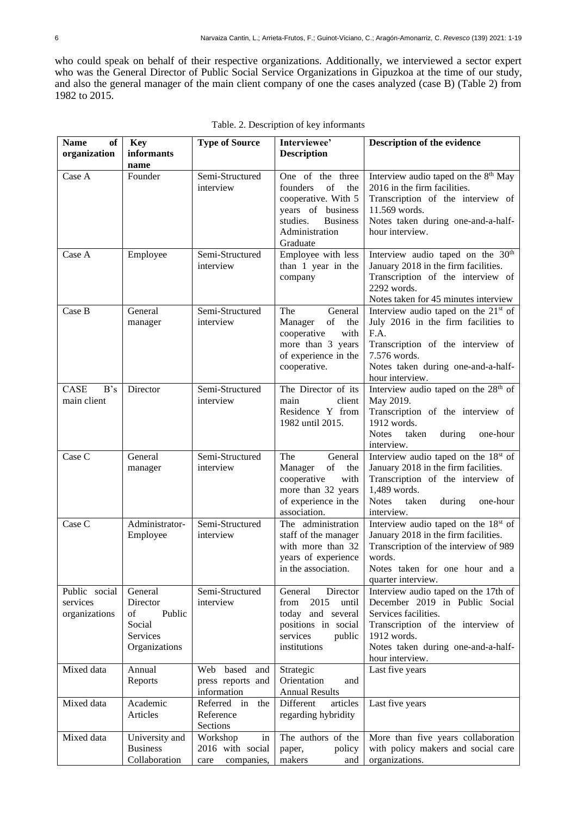who could speak on behalf of their respective organizations. Additionally, we interviewed a sector expert who was the General Director of Public Social Service Organizations in Gipuzkoa at the time of our study, and also the general manager of the main client company of one the cases analyzed (case B) (Table 2) from 1982 to 2015.

| <b>Name</b><br>of<br>organization          | <b>Key</b><br>informants<br>name                                           | <b>Type of Source</b>                                    | Interviewee'<br><b>Description</b>                                                                                                                 | Description of the evidence                                                                                                                                                                                   |
|--------------------------------------------|----------------------------------------------------------------------------|----------------------------------------------------------|----------------------------------------------------------------------------------------------------------------------------------------------------|---------------------------------------------------------------------------------------------------------------------------------------------------------------------------------------------------------------|
| Case A                                     | Founder                                                                    | Semi-Structured<br>interview                             | One of the three<br>of<br>founders<br>the<br>cooperative. With 5<br>years of business<br><b>Business</b><br>studies.<br>Administration<br>Graduate | Interview audio taped on the 8 <sup>th</sup> May<br>2016 in the firm facilities.<br>Transcription of the interview of<br>11.569 words.<br>Notes taken during one-and-a-half-<br>hour interview.               |
| Case A                                     | Employee                                                                   | Semi-Structured<br>interview                             | Employee with less<br>than 1 year in the<br>company                                                                                                | Interview audio taped on the 30 <sup>th</sup><br>January 2018 in the firm facilities.<br>Transcription of the interview of<br>2292 words.<br>Notes taken for 45 minutes interview                             |
| Case B                                     | General<br>manager                                                         | Semi-Structured<br>interview                             | General<br>The<br>Manager<br>of<br>the<br>cooperative<br>with<br>more than 3 years<br>of experience in the<br>cooperative.                         | Interview audio taped on the 21 <sup>st</sup> of<br>July 2016 in the firm facilities to<br>F.A.<br>Transcription of the interview of<br>7.576 words.<br>Notes taken during one-and-a-half-<br>hour interview. |
| CASE<br>B's<br>main client                 | Director                                                                   | Semi-Structured<br>interview                             | The Director of its<br>main<br>client<br>Residence Y from<br>1982 until 2015.                                                                      | Interview audio taped on the 28 <sup>th</sup> of<br>May 2019.<br>Transcription of the interview of<br>1912 words.<br><b>Notes</b><br>taken<br>during<br>one-hour<br>interview.                                |
| Case C                                     | General<br>manager                                                         | Semi-Structured<br>interview                             | General<br>The<br>of<br>the<br>Manager<br>cooperative<br>with<br>more than 32 years<br>of experience in the<br>association.                        | Interview audio taped on the 18 <sup>st</sup> of<br>January 2018 in the firm facilities.<br>Transcription of the interview of<br>1,489 words.<br><b>Notes</b><br>taken<br>during<br>one-hour<br>interview.    |
| Case C                                     | Administrator-<br>Employee                                                 | Semi-Structured<br>interview                             | The administration<br>staff of the manager<br>with more than 32<br>years of experience<br>in the association.                                      | Interview audio taped on the 18 <sup>st</sup> of<br>January 2018 in the firm facilities.<br>Transcription of the interview of 989<br>words.<br>Notes taken for one hour and a<br>quarter interview.           |
| Public social<br>services<br>organizations | General<br>Director<br>Public<br>of<br>Social<br>Services<br>Organizations | Semi-Structured<br>interview                             | Director<br>General<br>2015<br>from<br>until<br>today and several<br>positions in social<br>services<br>public<br>institutions                     | Interview audio taped on the 17th of<br>December 2019 in Public Social<br>Services facilities.<br>Transcription of the interview of<br>1912 words.<br>Notes taken during one-and-a-half-<br>hour interview.   |
| Mixed data                                 | Annual<br>Reports                                                          | Web based<br>and<br>press reports and<br>information     | Strategic<br>Orientation<br>and<br><b>Annual Results</b>                                                                                           | Last five years                                                                                                                                                                                               |
| Mixed data                                 | Academic<br>Articles                                                       | Referred in<br>the<br>Reference<br>Sections              | Different<br>articles<br>regarding hybridity                                                                                                       | Last five years                                                                                                                                                                                               |
| Mixed data                                 | University and<br><b>Business</b><br>Collaboration                         | Workshop<br>in<br>2016 with social<br>care<br>companies, | The authors of the<br>policy<br>paper,<br>makers<br>and                                                                                            | More than five years collaboration<br>with policy makers and social care<br>organizations.                                                                                                                    |

|  |  |  |  |  | Table. 2. Description of key informants |
|--|--|--|--|--|-----------------------------------------|
|--|--|--|--|--|-----------------------------------------|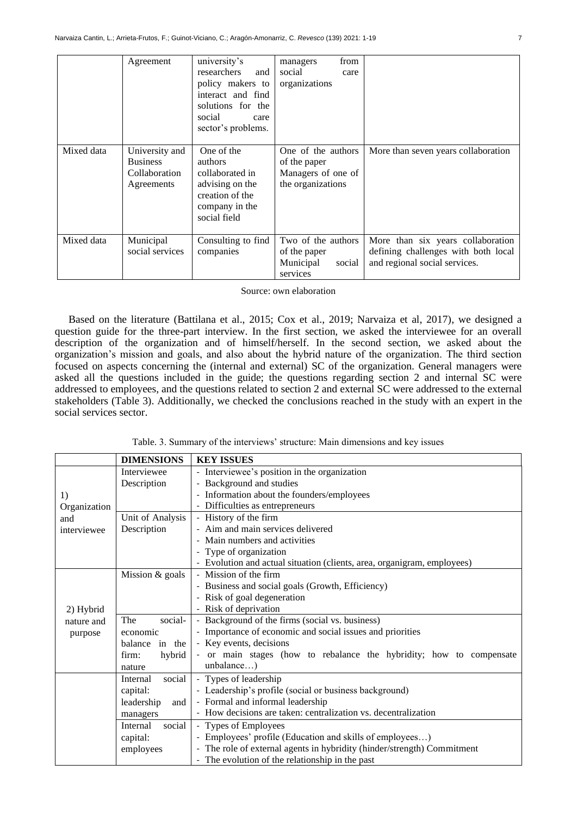|            | Agreement                                                        | university's<br>researchers<br>and<br>policy makers to<br>interact and find<br>solutions for the<br>social<br>care<br>sector's problems. | from<br>managers<br>social<br>care<br>organizations                           |                                                                                                           |
|------------|------------------------------------------------------------------|------------------------------------------------------------------------------------------------------------------------------------------|-------------------------------------------------------------------------------|-----------------------------------------------------------------------------------------------------------|
| Mixed data | University and<br><b>Business</b><br>Collaboration<br>Agreements | One of the<br><i>authors</i><br>collaborated in<br>advising on the<br>creation of the<br>company in the<br>social field                  | One of the authors<br>of the paper<br>Managers of one of<br>the organizations | More than seven years collaboration                                                                       |
| Mixed data | Municipal<br>social services                                     | Consulting to find<br>companies                                                                                                          | Two of the authors<br>of the paper<br>Municipal<br>social<br>services         | More than six years collaboration<br>defining challenges with both local<br>and regional social services. |

Source: own elaboration

Based on the literature (Battilana et al., 2015; Cox et al., 2019; Narvaiza et al, 2017), we designed a question guide for the three-part interview. In the first section, we asked the interviewee for an overall description of the organization and of himself/herself. In the second section, we asked about the organization's mission and goals, and also about the hybrid nature of the organization. The third section focused on aspects concerning the (internal and external) SC of the organization. General managers were asked all the questions included in the guide; the questions regarding section 2 and internal SC were addressed to employees, and the questions related to section 2 and external SC were addressed to the external stakeholders (Table 3). Additionally, we checked the conclusions reached in the study with an expert in the social services sector.

Table. 3. Summary of the interviews' structure: Main dimensions and key issues

|                                             | <b>DIMENSIONS</b>  | <b>KEY ISSUES</b>                                                       |  |  |
|---------------------------------------------|--------------------|-------------------------------------------------------------------------|--|--|
|                                             | Interviewee        | - Interviewee's position in the organization                            |  |  |
|                                             | Description        | - Background and studies                                                |  |  |
| 1)                                          |                    | - Information about the founders/employees                              |  |  |
| Organization                                |                    | - Difficulties as entrepreneurs                                         |  |  |
| and                                         | Unit of Analysis   | - History of the firm                                                   |  |  |
| interviewee                                 | Description        | - Aim and main services delivered                                       |  |  |
|                                             |                    | - Main numbers and activities                                           |  |  |
|                                             |                    | - Type of organization                                                  |  |  |
|                                             |                    | - Evolution and actual situation (clients, area, organigram, employees) |  |  |
|                                             | Mission & goals    | - Mission of the firm                                                   |  |  |
|                                             |                    | - Business and social goals (Growth, Efficiency)                        |  |  |
|                                             |                    | - Risk of goal degeneration                                             |  |  |
| 2) Hybrid                                   |                    | - Risk of deprivation                                                   |  |  |
| nature and                                  | social-<br>The     | - Background of the firms (social vs. business)                         |  |  |
| purpose                                     | economic           | - Importance of economic and social issues and priorities               |  |  |
| balance in the<br>hybrid<br>firm:<br>nature |                    | - Key events, decisions                                                 |  |  |
|                                             |                    | - or main stages (how to rebalance the hybridity; how to compensate     |  |  |
|                                             |                    | unbalance)                                                              |  |  |
|                                             | social<br>Internal | - Types of leadership                                                   |  |  |
|                                             | capital:           | - Leadership's profile (social or business background)                  |  |  |
|                                             | leadership<br>and  | - Formal and informal leadership                                        |  |  |
| managers<br>social<br>Internal<br>capital:  |                    | - How decisions are taken: centralization vs. decentralization          |  |  |
|                                             |                    | - Types of Employees                                                    |  |  |
|                                             |                    | - Employees' profile (Education and skills of employees)                |  |  |
|                                             | employees          | - The role of external agents in hybridity (hinder/strength) Commitment |  |  |
|                                             |                    | - The evolution of the relationship in the past                         |  |  |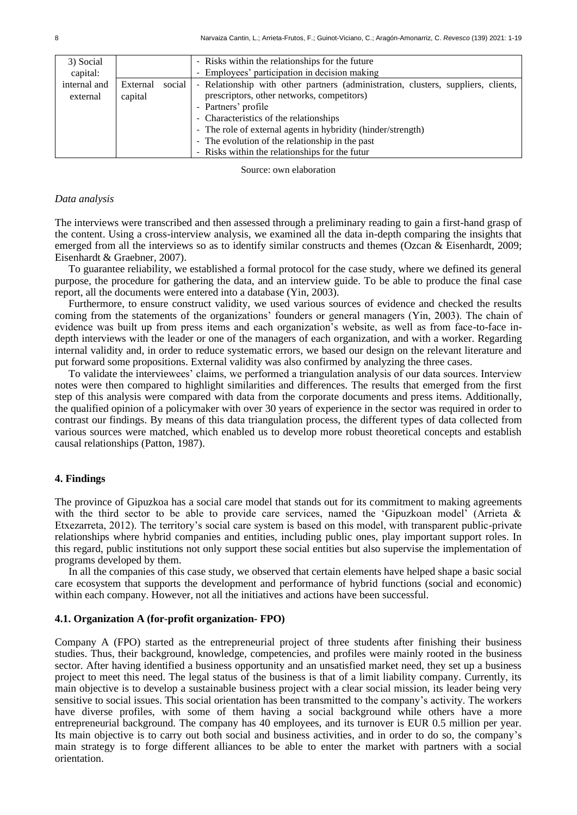| 3) Social    |          |        | - Risks within the relationships for the future                                   |
|--------------|----------|--------|-----------------------------------------------------------------------------------|
| capital:     |          |        | - Employees' participation in decision making                                     |
| internal and | External | social | - Relationship with other partners (administration, clusters, suppliers, clients, |
| external     | capital  |        | prescriptors, other networks, competitors)                                        |
|              |          |        | - Partners' profile                                                               |
|              |          |        | - Characteristics of the relationships                                            |
|              |          |        | - The role of external agents in hybridity (hinder/strength)                      |
|              |          |        | - The evolution of the relationship in the past                                   |
|              |          |        | - Risks within the relationships for the futur                                    |

Source: own elaboration

### *Data analysis*

The interviews were transcribed and then assessed through a preliminary reading to gain a first-hand grasp of the content. Using a cross-interview analysis, we examined all the data in-depth comparing the insights that emerged from all the interviews so as to identify similar constructs and themes (Ozcan & Eisenhardt, 2009; Eisenhardt & Graebner, 2007).

To guarantee reliability, we established a formal protocol for the case study, where we defined its general purpose, the procedure for gathering the data, and an interview guide. To be able to produce the final case report, all the documents were entered into a database (Yin, 2003).

Furthermore, to ensure construct validity, we used various sources of evidence and checked the results coming from the statements of the organizations' founders or general managers (Yin, 2003). The chain of evidence was built up from press items and each organization's website, as well as from face-to-face indepth interviews with the leader or one of the managers of each organization, and with a worker. Regarding internal validity and, in order to reduce systematic errors, we based our design on the relevant literature and put forward some propositions. External validity was also confirmed by analyzing the three cases.

To validate the interviewees' claims, we performed a triangulation analysis of our data sources. Interview notes were then compared to highlight similarities and differences. The results that emerged from the first step of this analysis were compared with data from the corporate documents and press items. Additionally, the qualified opinion of a policymaker with over 30 years of experience in the sector was required in order to contrast our findings. By means of this data triangulation process, the different types of data collected from various sources were matched, which enabled us to develop more robust theoretical concepts and establish causal relationships (Patton, 1987).

## **4. Findings**

The province of Gipuzkoa has a social care model that stands out for its commitment to making agreements with the third sector to be able to provide care services, named the 'Gipuzkoan model' (Arrieta & Etxezarreta, 2012). The territory's social care system is based on this model, with transparent public-private relationships where hybrid companies and entities, including public ones, play important support roles. In this regard, public institutions not only support these social entities but also supervise the implementation of programs developed by them.

In all the companies of this case study, we observed that certain elements have helped shape a basic social care ecosystem that supports the development and performance of hybrid functions (social and economic) within each company. However, not all the initiatives and actions have been successful.

## **4.1. Organization A (for-profit organization- FPO)**

Company A (FPO) started as the entrepreneurial project of three students after finishing their business studies. Thus, their background, knowledge, competencies, and profiles were mainly rooted in the business sector. After having identified a business opportunity and an unsatisfied market need, they set up a business project to meet this need. The legal status of the business is that of a limit liability company. Currently, its main objective is to develop a sustainable business project with a clear social mission, its leader being very sensitive to social issues. This social orientation has been transmitted to the company's activity. The workers have diverse profiles, with some of them having a social background while others have a more entrepreneurial background. The company has 40 employees, and its turnover is EUR 0.5 million per year. Its main objective is to carry out both social and business activities, and in order to do so, the company's main strategy is to forge different alliances to be able to enter the market with partners with a social orientation.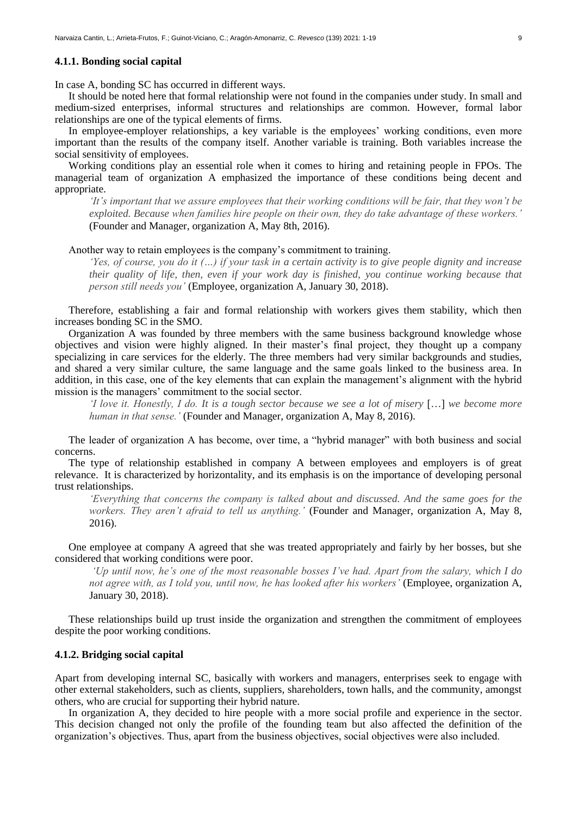#### **4.1.1. Bonding social capital**

In case A, bonding SC has occurred in different ways.

It should be noted here that formal relationship were not found in the companies under study. In small and medium-sized enterprises, informal structures and relationships are common. However, formal labor relationships are one of the typical elements of firms.

In employee-employer relationships, a key variable is the employees' working conditions, even more important than the results of the company itself. Another variable is training. Both variables increase the social sensitivity of employees.

Working conditions play an essential role when it comes to hiring and retaining people in FPOs. The managerial team of organization A emphasized the importance of these conditions being decent and appropriate.

*'It's important that we assure employees that their working conditions will be fair, that they won't be exploited. Because when families hire people on their own, they do take advantage of these workers.'*  (Founder and Manager, organization A, May 8th, 2016).

## Another way to retain employees is the company's commitment to training.

*'Yes, of course, you do it (…) if your task in a certain activity is to give people dignity and increase their quality of life, then, even if your work day is finished, you continue working because that person still needs you'* (Employee, organization A, January 30, 2018).

Therefore, establishing a fair and formal relationship with workers gives them stability, which then increases bonding SC in the SMO.

Organization A was founded by three members with the same business background knowledge whose objectives and vision were highly aligned. In their master's final project, they thought up a company specializing in care services for the elderly. The three members had very similar backgrounds and studies, and shared a very similar culture, the same language and the same goals linked to the business area. In addition, in this case, one of the key elements that can explain the management's alignment with the hybrid mission is the managers' commitment to the social sector.

*I love it. Honestly, I do. It is a tough sector because we see a lot of misery* [...] *we become more human in that sense.'* (Founder and Manager, organization A, May 8, 2016).

The leader of organization A has become, over time, a "hybrid manager" with both business and social concerns.

The type of relationship established in company A between employees and employers is of great relevance. It is characterized by horizontality, and its emphasis is on the importance of developing personal trust relationships.

*'Everything that concerns the company is talked about and discussed. And the same goes for the workers. They aren't afraid to tell us anything.'* (Founder and Manager, organization A, May 8, 2016).

One employee at company A agreed that she was treated appropriately and fairly by her bosses, but she considered that working conditions were poor.

*'Up until now, he's one of the most reasonable bosses I've had. Apart from the salary, which I do not agree with, as I told you, until now, he has looked after his workers'* (Employee, organization A, January 30, 2018).

These relationships build up trust inside the organization and strengthen the commitment of employees despite the poor working conditions.

## **4.1.2. Bridging social capital**

Apart from developing internal SC, basically with workers and managers, enterprises seek to engage with other external stakeholders, such as clients, suppliers, shareholders, town halls, and the community, amongst others, who are crucial for supporting their hybrid nature.

In organization A, they decided to hire people with a more social profile and experience in the sector. This decision changed not only the profile of the founding team but also affected the definition of the organization's objectives. Thus, apart from the business objectives, social objectives were also included.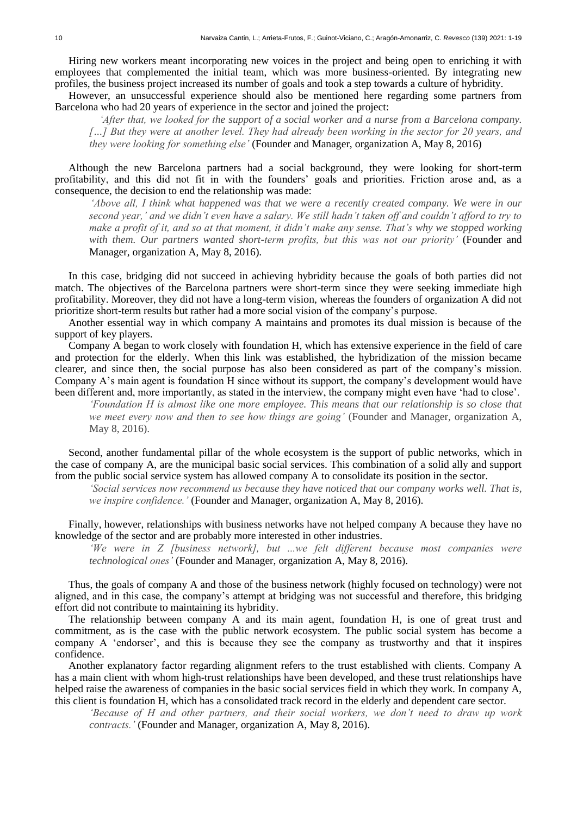Hiring new workers meant incorporating new voices in the project and being open to enriching it with employees that complemented the initial team, which was more business-oriented. By integrating new profiles, the business project increased its number of goals and took a step towards a culture of hybridity.

However, an unsuccessful experience should also be mentioned here regarding some partners from Barcelona who had 20 years of experience in the sector and joined the project:

*'After that, we looked for the support of a social worker and a nurse from a Barcelona company. […] But they were at another level. They had already been working in the sector for 20 years, and they were looking for something else'* (Founder and Manager, organization A, May 8, 2016)

Although the new Barcelona partners had a social background, they were looking for short-term profitability, and this did not fit in with the founders' goals and priorities. Friction arose and, as a consequence, the decision to end the relationship was made:

*'Above all, I think what happened was that we were a recently created company. We were in our second year,' and we didn't even have a salary. We still hadn't taken off and couldn't afford to try to make a profit of it, and so at that moment, it didn't make any sense. That's why we stopped working with them. Our partners wanted short-term profits, but this was not our priority'* (Founder and Manager, organization A, May 8, 2016).

In this case, bridging did not succeed in achieving hybridity because the goals of both parties did not match. The objectives of the Barcelona partners were short-term since they were seeking immediate high profitability. Moreover, they did not have a long-term vision, whereas the founders of organization A did not prioritize short-term results but rather had a more social vision of the company's purpose.

Another essential way in which company A maintains and promotes its dual mission is because of the support of key players.

Company A began to work closely with foundation H, which has extensive experience in the field of care and protection for the elderly. When this link was established, the hybridization of the mission became clearer, and since then, the social purpose has also been considered as part of the company's mission. Company A's main agent is foundation H since without its support, the company's development would have been different and, more importantly, as stated in the interview, the company might even have 'had to close'.

*'Foundation H is almost like one more employee. This means that our relationship is so close that we meet every now and then to see how things are going'* (Founder and Manager, organization A, May 8, 2016).

Second, another fundamental pillar of the whole ecosystem is the support of public networks, which in the case of company A, are the municipal basic social services. This combination of a solid ally and support from the public social service system has allowed company A to consolidate its position in the sector.

*'Social services now recommend us because they have noticed that our company works well. That is, we inspire confidence.'* (Founder and Manager, organization A, May 8, 2016).

Finally, however, relationships with business networks have not helped company A because they have no knowledge of the sector and are probably more interested in other industries.

*'We were in Z [business network], but ...we felt different because most companies were technological ones'* (Founder and Manager, organization A, May 8, 2016).

Thus, the goals of company A and those of the business network (highly focused on technology) were not aligned, and in this case, the company's attempt at bridging was not successful and therefore, this bridging effort did not contribute to maintaining its hybridity.

The relationship between company A and its main agent, foundation H, is one of great trust and commitment, as is the case with the public network ecosystem. The public social system has become a company A 'endorser', and this is because they see the company as trustworthy and that it inspires confidence.

Another explanatory factor regarding alignment refers to the trust established with clients. Company A has a main client with whom high-trust relationships have been developed, and these trust relationships have helped raise the awareness of companies in the basic social services field in which they work. In company A, this client is foundation H, which has a consolidated track record in the elderly and dependent care sector.

*'Because of H and other partners, and their social workers, we don't need to draw up work contracts.'* (Founder and Manager, organization A, May 8, 2016).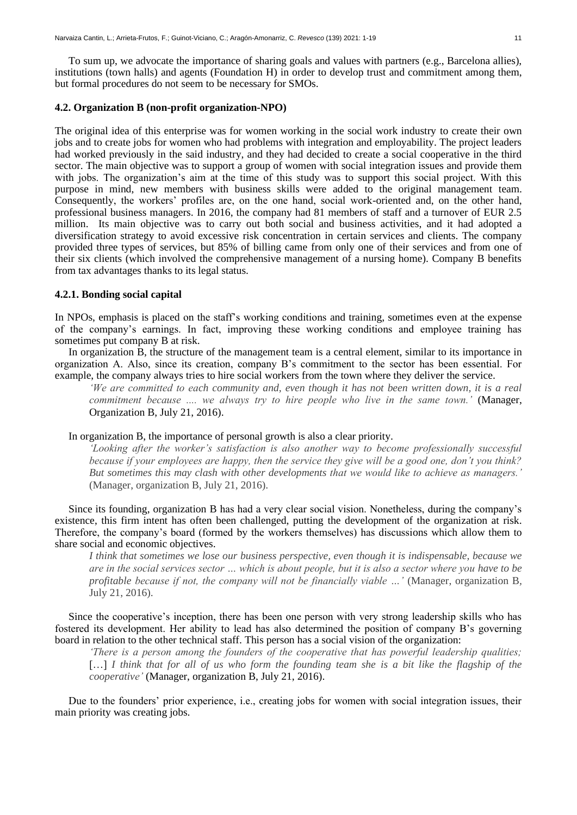To sum up, we advocate the importance of sharing goals and values with partners (e.g., Barcelona allies), institutions (town halls) and agents (Foundation H) in order to develop trust and commitment among them, but formal procedures do not seem to be necessary for SMOs.

# **4.2. Organization B (non-profit organization-NPO)**

The original idea of this enterprise was for women working in the social work industry to create their own jobs and to create jobs for women who had problems with integration and employability. The project leaders had worked previously in the said industry, and they had decided to create a social cooperative in the third sector. The main objective was to support a group of women with social integration issues and provide them with jobs. The organization's aim at the time of this study was to support this social project. With this purpose in mind, new members with business skills were added to the original management team. Consequently, the workers' profiles are, on the one hand, social work-oriented and, on the other hand, professional business managers. In 2016, the company had 81 members of staff and a turnover of EUR 2.5 million. Its main objective was to carry out both social and business activities, and it had adopted a diversification strategy to avoid excessive risk concentration in certain services and clients. The company provided three types of services, but 85% of billing came from only one of their services and from one of their six clients (which involved the comprehensive management of a nursing home). Company B benefits from tax advantages thanks to its legal status.

# **4.2.1. Bonding social capital**

In NPOs, emphasis is placed on the staff's working conditions and training, sometimes even at the expense of the company's earnings. In fact, improving these working conditions and employee training has sometimes put company B at risk.

In organization B, the structure of the management team is a central element, similar to its importance in organization A. Also, since its creation, company B's commitment to the sector has been essential. For example, the company always tries to hire social workers from the town where they deliver the service.

*'We are committed to each community and, even though it has not been written down, it is a real commitment because .... we always try to hire people who live in the same town.'* (Manager, Organization B, July 21, 2016).

In organization B, the importance of personal growth is also a clear priority.

*'Looking after the worker's satisfaction is also another way to become professionally successful because if your employees are happy, then the service they give will be a good one, don't you think? But sometimes this may clash with other developments that we would like to achieve as managers.'*  (Manager, organization B, July 21, 2016).

Since its founding, organization B has had a very clear social vision. Nonetheless, during the company's existence, this firm intent has often been challenged, putting the development of the organization at risk. Therefore, the company's board (formed by the workers themselves) has discussions which allow them to share social and economic objectives.

*I think that sometimes we lose our business perspective, even though it is indispensable, because we are in the social services sector … which is about people, but it is also a sector where you have to be profitable because if not, the company will not be financially viable …'* (Manager, organization B*,* July 21, 2016).

Since the cooperative's inception, there has been one person with very strong leadership skills who has fostered its development. Her ability to lead has also determined the position of company B's governing board in relation to the other technical staff. This person has a social vision of the organization:

*'There is a person among the founders of the cooperative that has powerful leadership qualities;*  [...] *I think that for all of us who form the founding team she is a bit like the flagship of the cooperative'* (Manager, organization B, July 21, 2016).

Due to the founders' prior experience, i.e., creating jobs for women with social integration issues, their main priority was creating jobs.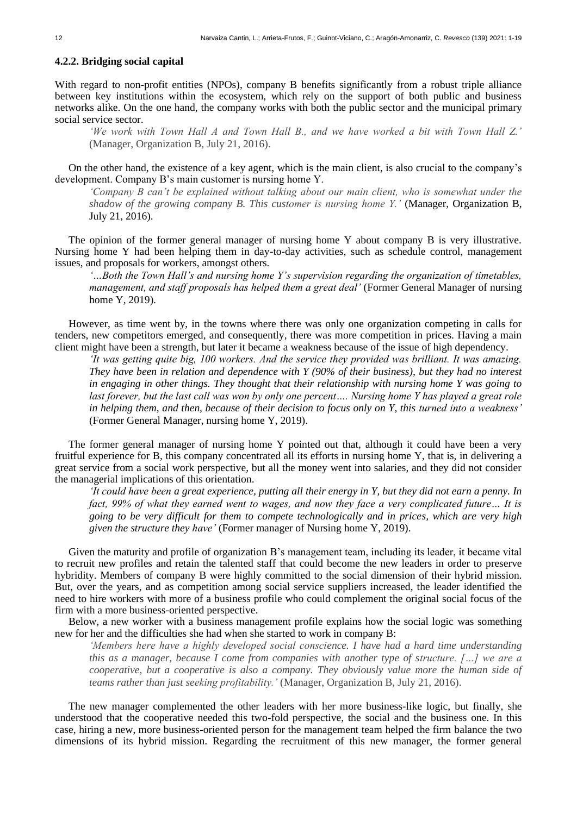# **4.2.2. Bridging social capital**

With regard to non-profit entities (NPOs), company B benefits significantly from a robust triple alliance between key institutions within the ecosystem, which rely on the support of both public and business networks alike. On the one hand, the company works with both the public sector and the municipal primary social service sector.

*'We work with Town Hall A and Town Hall B., and we have worked a bit with Town Hall Z.'*  (Manager, Organization B, July 21, 2016).

On the other hand, the existence of a key agent, which is the main client, is also crucial to the company's development. Company B's main customer is nursing home Y.

*'Company B can't be explained without talking about our main client, who is somewhat under the shadow of the growing company B. This customer is nursing home Y.'* (Manager, Organization B, July 21, 2016).

The opinion of the former general manager of nursing home Y about company B is very illustrative. Nursing home Y had been helping them in day-to-day activities, such as schedule control, management issues, and proposals for workers, amongst others.

*'…Both the Town Hall's and nursing home Y's supervision regarding the organization of timetables, management, and staff proposals has helped them a great deal'* (Former General Manager of nursing home Y, 2019).

However, as time went by, in the towns where there was only one organization competing in calls for tenders, new competitors emerged, and consequently, there was more competition in prices. Having a main client might have been a strength, but later it became a weakness because of the issue of high dependency.

*'It was getting quite big, 100 workers. And the service they provided was brilliant. It was amazing. They have been in relation and dependence with Y (90% of their business), but they had no interest in engaging in other things. They thought that their relationship with nursing home Y was going to*  last forever, but the last call was won by only one percent.... Nursing home Y has played a great role *in helping them, and then, because of their decision to focus only on Y, this turned into a weakness'* (Former General Manager, nursing home Y, 2019).

The former general manager of nursing home Y pointed out that, although it could have been a very fruitful experience for B, this company concentrated all its efforts in nursing home Y, that is, in delivering a great service from a social work perspective, but all the money went into salaries, and they did not consider the managerial implications of this orientation.

*'It could have been a great experience, putting all their energy in Y, but they did not earn a penny. In fact, 99% of what they earned went to wages, and now they face a very complicated future… It is going to be very difficult for them to compete technologically and in prices, which are very high given the structure they have'* (Former manager of Nursing home Y, 2019).

Given the maturity and profile of organization B's management team, including its leader, it became vital to recruit new profiles and retain the talented staff that could become the new leaders in order to preserve hybridity. Members of company B were highly committed to the social dimension of their hybrid mission. But, over the years, and as competition among social service suppliers increased, the leader identified the need to hire workers with more of a business profile who could complement the original social focus of the firm with a more business-oriented perspective.

Below, a new worker with a business management profile explains how the social logic was something new for her and the difficulties she had when she started to work in company B:

*'Members here have a highly developed social conscience. I have had a hard time understanding this as a manager, because I come from companies with another type of structure. […] we are a cooperative, but a cooperative is also a company. They obviously value more the human side of teams rather than just seeking profitability.'* (Manager, Organization B, July 21, 2016).

The new manager complemented the other leaders with her more business-like logic, but finally, she understood that the cooperative needed this two-fold perspective, the social and the business one. In this case, hiring a new, more business-oriented person for the management team helped the firm balance the two dimensions of its hybrid mission. Regarding the recruitment of this new manager, the former general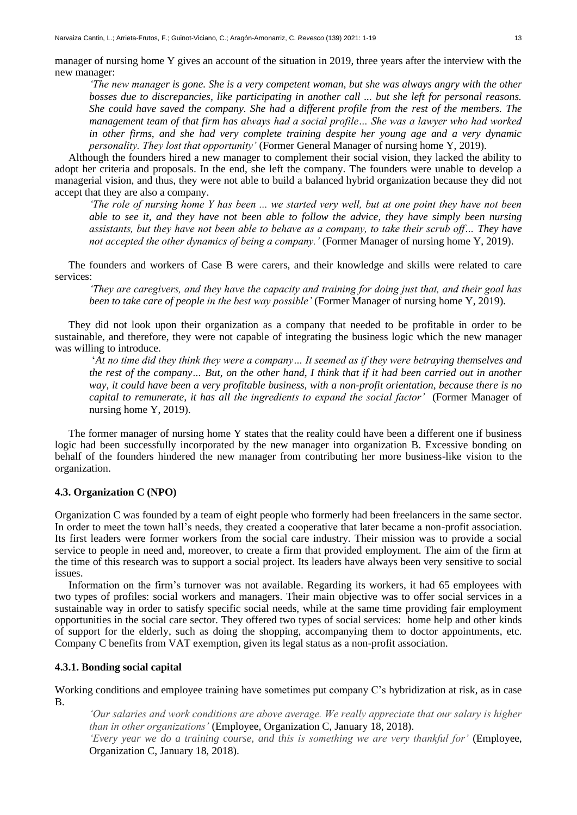*'The new manager is gone. She is a very competent woman, but she was always angry with the other bosses due to discrepancies, like participating in another call ... but she left for personal reasons. She could have saved the company. She had a different profile from the rest of the members. The management team of that firm has always had a social profile… She was a lawyer who had worked in other firms, and she had very complete training despite her young age and a very dynamic personality. They lost that opportunity'* (Former General Manager of nursing home Y, 2019).

Although the founders hired a new manager to complement their social vision, they lacked the ability to adopt her criteria and proposals. In the end, she left the company. The founders were unable to develop a managerial vision, and thus, they were not able to build a balanced hybrid organization because they did not accept that they are also a company.

*'The role of nursing home Y has been ... we started very well, but at one point they have not been able to see it, and they have not been able to follow the advice, they have simply been nursing assistants, but they have not been able to behave as a company, to take their scrub off… They have not accepted the other dynamics of being a company.'* (Former Manager of nursing home Y, 2019).

The founders and workers of Case B were carers, and their knowledge and skills were related to care services:

*'They are caregivers, and they have the capacity and training for doing just that, and their goal has been to take care of people in the best way possible'* (Former Manager of nursing home Y, 2019).

They did not look upon their organization as a company that needed to be profitable in order to be sustainable, and therefore, they were not capable of integrating the business logic which the new manager was willing to introduce.

'*At no time did they think they were a company… It seemed as if they were betraying themselves and the rest of the company… But, on the other hand, I think that if it had been carried out in another way, it could have been a very profitable business, with a non-profit orientation, because there is no capital to remunerate, it has all the ingredients to expand the social factor'* (Former Manager of nursing home Y, 2019).

The former manager of nursing home Y states that the reality could have been a different one if business logic had been successfully incorporated by the new manager into organization B. Excessive bonding on behalf of the founders hindered the new manager from contributing her more business-like vision to the organization.

# **4.3. Organization C (NPO)**

Organization C was founded by a team of eight people who formerly had been freelancers in the same sector. In order to meet the town hall's needs, they created a cooperative that later became a non-profit association. Its first leaders were former workers from the social care industry. Their mission was to provide a social service to people in need and, moreover, to create a firm that provided employment. The aim of the firm at the time of this research was to support a social project. Its leaders have always been very sensitive to social issues.

Information on the firm's turnover was not available. Regarding its workers, it had 65 employees with two types of profiles: social workers and managers. Their main objective was to offer social services in a sustainable way in order to satisfy specific social needs, while at the same time providing fair employment opportunities in the social care sector. They offered two types of social services: home help and other kinds of support for the elderly, such as doing the shopping, accompanying them to doctor appointments, etc. Company C benefits from VAT exemption, given its legal status as a non-profit association.

### **4.3.1. Bonding social capital**

Working conditions and employee training have sometimes put company C's hybridization at risk, as in case B.

*'Our salaries and work conditions are above average. We really appreciate that our salary is higher than in other organizations'* (Employee, Organization C, January 18, 2018).

*'Every year we do a training course, and this is something we are very thankful for'* (Employee, Organization C, January 18, 2018).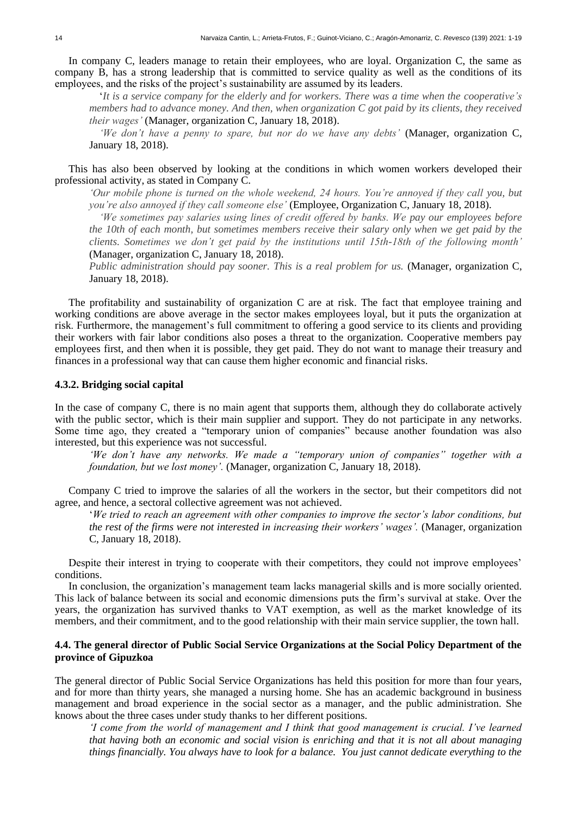In company C, leaders manage to retain their employees, who are loyal. Organization C, the same as company B, has a strong leadership that is committed to service quality as well as the conditions of its employees, and the risks of the project's sustainability are assumed by its leaders.

'*It is a service company for the elderly and for workers. There was a time when the cooperative's members had to advance money. And then, when organization C got paid by its clients, they received their wages'* (Manager, organization C, January 18, 2018).

*'We don't have a penny to spare, but nor do we have any debts'* (Manager, organization C, January 18, 2018).

This has also been observed by looking at the conditions in which women workers developed their professional activity, as stated in Company C.

*'Our mobile phone is turned on the whole weekend, 24 hours. You're annoyed if they call you, but you're also annoyed if they call someone else'* (Employee, Organization C, January 18, 2018).

*'We sometimes pay salaries using lines of credit offered by banks. We pay our employees before the 10th of each month, but sometimes members receive their salary only when we get paid by the clients. Sometimes we don't get paid by the institutions until 15th-18th of the following month'*  (Manager, organization C, January 18, 2018).

*Public administration should pay sooner. This is a real problem for us.* (Manager, organization C, January 18, 2018).

The profitability and sustainability of organization C are at risk. The fact that employee training and working conditions are above average in the sector makes employees loyal, but it puts the organization at risk. Furthermore, the management's full commitment to offering a good service to its clients and providing their workers with fair labor conditions also poses a threat to the organization. Cooperative members pay employees first, and then when it is possible, they get paid. They do not want to manage their treasury and finances in a professional way that can cause them higher economic and financial risks.

#### **4.3.2. Bridging social capital**

In the case of company C, there is no main agent that supports them, although they do collaborate actively with the public sector, which is their main supplier and support. They do not participate in any networks. Some time ago, they created a "temporary union of companies" because another foundation was also interested, but this experience was not successful.

*'We don't have any networks. We made a "temporary union of companies" together with a foundation, but we lost money'.* (Manager, organization C, January 18, 2018).

Company C tried to improve the salaries of all the workers in the sector, but their competitors did not agree, and hence, a sectoral collective agreement was not achieved.

'*We tried to reach an agreement with other companies to improve the sector's labor conditions, but the rest of the firms were not interested in increasing their workers' wages'.* (Manager, organization C, January 18, 2018).

Despite their interest in trying to cooperate with their competitors, they could not improve employees' conditions.

In conclusion, the organization's management team lacks managerial skills and is more socially oriented. This lack of balance between its social and economic dimensions puts the firm's survival at stake. Over the years, the organization has survived thanks to VAT exemption, as well as the market knowledge of its members, and their commitment, and to the good relationship with their main service supplier, the town hall.

# **4.4. The general director of Public Social Service Organizations at the Social Policy Department of the province of Gipuzkoa**

The general director of Public Social Service Organizations has held this position for more than four years, and for more than thirty years, she managed a nursing home. She has an academic background in business management and broad experience in the social sector as a manager, and the public administration. She knows about the three cases under study thanks to her different positions.

*'I come from the world of management and I think that good management is crucial. I've learned that having both an economic and social vision is enriching and that it is not all about managing things financially. You always have to look for a balance. You just cannot dedicate everything to the*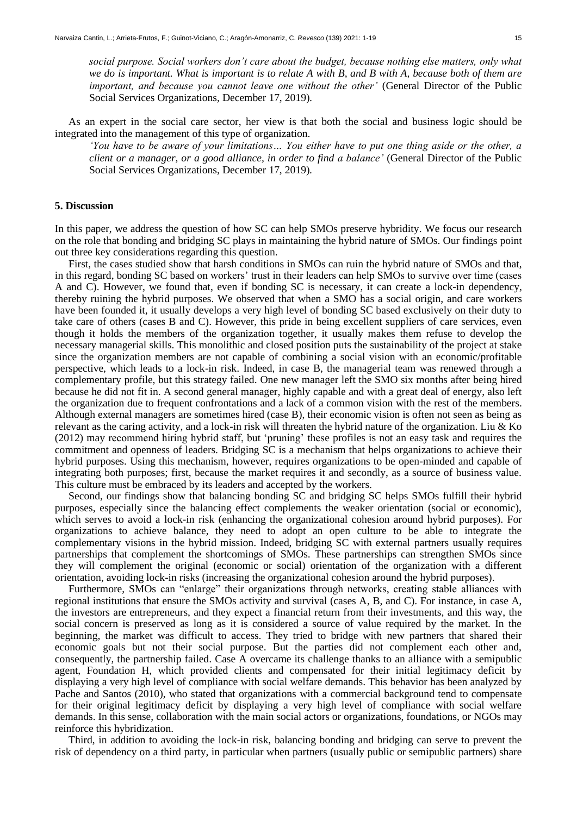*social purpose. Social workers don't care about the budget, because nothing else matters, only what we do is important. What is important is to relate A with B, and B with A, because both of them are important, and because you cannot leave one without the other'* (General Director of the Public Social Services Organizations, December 17, 2019)*.*

As an expert in the social care sector, her view is that both the social and business logic should be integrated into the management of this type of organization.

*'You have to be aware of your limitations… You either have to put one thing aside or the other, a client or a manager, or a good alliance, in order to find a balance'* (General Director of the Public Social Services Organizations, December 17, 2019)*.*

# **5. Discussion**

In this paper, we address the question of how SC can help SMOs preserve hybridity. We focus our research on the role that bonding and bridging SC plays in maintaining the hybrid nature of SMOs. Our findings point out three key considerations regarding this question.

First, the cases studied show that harsh conditions in SMOs can ruin the hybrid nature of SMOs and that, in this regard, bonding SC based on workers' trust in their leaders can help SMOs to survive over time (cases A and C). However, we found that, even if bonding SC is necessary, it can create a lock-in dependency, thereby ruining the hybrid purposes. We observed that when a SMO has a social origin, and care workers have been founded it, it usually develops a very high level of bonding SC based exclusively on their duty to take care of others (cases B and C). However, this pride in being excellent suppliers of care services, even though it holds the members of the organization together, it usually makes them refuse to develop the necessary managerial skills. This monolithic and closed position puts the sustainability of the project at stake since the organization members are not capable of combining a social vision with an economic/profitable perspective, which leads to a lock-in risk. Indeed, in case B, the managerial team was renewed through a complementary profile, but this strategy failed. One new manager left the SMO six months after being hired because he did not fit in. A second general manager, highly capable and with a great deal of energy, also left the organization due to frequent confrontations and a lack of a common vision with the rest of the members. Although external managers are sometimes hired (case B), their economic vision is often not seen as being as relevant as the caring activity, and a lock-in risk will threaten the hybrid nature of the organization. Liu & Ko (2012) may recommend hiring hybrid staff, but 'pruning' these profiles is not an easy task and requires the commitment and openness of leaders. Bridging SC is a mechanism that helps organizations to achieve their hybrid purposes. Using this mechanism, however, requires organizations to be open-minded and capable of integrating both purposes; first, because the market requires it and secondly, as a source of business value. This culture must be embraced by its leaders and accepted by the workers.

Second, our findings show that balancing bonding SC and bridging SC helps SMOs fulfill their hybrid purposes, especially since the balancing effect complements the weaker orientation (social or economic), which serves to avoid a lock-in risk (enhancing the organizational cohesion around hybrid purposes). For organizations to achieve balance, they need to adopt an open culture to be able to integrate the complementary visions in the hybrid mission. Indeed, bridging SC with external partners usually requires partnerships that complement the shortcomings of SMOs. These partnerships can strengthen SMOs since they will complement the original (economic or social) orientation of the organization with a different orientation, avoiding lock-in risks (increasing the organizational cohesion around the hybrid purposes).

Furthermore, SMOs can "enlarge" their organizations through networks, creating stable alliances with regional institutions that ensure the SMOs activity and survival (cases A, B, and C). For instance, in case A, the investors are entrepreneurs, and they expect a financial return from their investments, and this way, the social concern is preserved as long as it is considered a source of value required by the market. In the beginning, the market was difficult to access. They tried to bridge with new partners that shared their economic goals but not their social purpose. But the parties did not complement each other and, consequently, the partnership failed. Case A overcame its challenge thanks to an alliance with a semipublic agent, Foundation H, which provided clients and compensated for their initial legitimacy deficit by displaying a very high level of compliance with social welfare demands. This behavior has been analyzed by Pache and Santos (2010), who stated that organizations with a commercial background tend to compensate for their original legitimacy deficit by displaying a very high level of compliance with social welfare demands. In this sense, collaboration with the main social actors or organizations, foundations, or NGOs may reinforce this hybridization.

Third, in addition to avoiding the lock-in risk, balancing bonding and bridging can serve to prevent the risk of dependency on a third party, in particular when partners (usually public or semipublic partners) share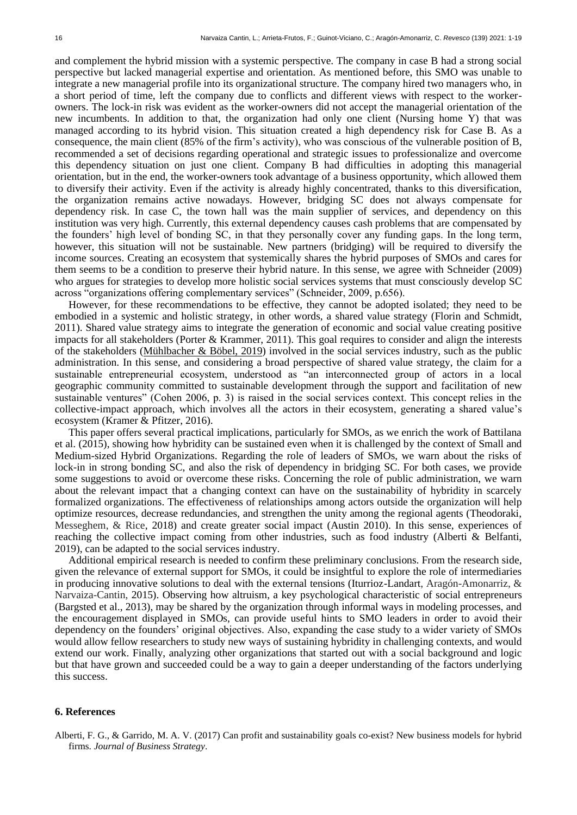and complement the hybrid mission with a systemic perspective. The company in case B had a strong social perspective but lacked managerial expertise and orientation. As mentioned before, this SMO was unable to integrate a new managerial profile into its organizational structure. The company hired two managers who, in a short period of time, left the company due to conflicts and different views with respect to the workerowners. The lock-in risk was evident as the worker-owners did not accept the managerial orientation of the new incumbents. In addition to that, the organization had only one client (Nursing home Y) that was managed according to its hybrid vision. This situation created a high dependency risk for Case B. As a consequence, the main client (85% of the firm's activity), who was conscious of the vulnerable position of B, recommended a set of decisions regarding operational and strategic issues to professionalize and overcome this dependency situation on just one client. Company B had difficulties in adopting this managerial orientation, but in the end, the worker-owners took advantage of a business opportunity, which allowed them to diversify their activity. Even if the activity is already highly concentrated, thanks to this diversification, the organization remains active nowadays. However, bridging SC does not always compensate for dependency risk. In case C, the town hall was the main supplier of services, and dependency on this institution was very high. Currently, this external dependency causes cash problems that are compensated by the founders' high level of bonding SC, in that they personally cover any funding gaps. In the long term, however, this situation will not be sustainable. New partners (bridging) will be required to diversify the income sources. Creating an ecosystem that systemically shares the hybrid purposes of SMOs and cares for them seems to be a condition to preserve their hybrid nature. In this sense, we agree with Schneider (2009) who argues for strategies to develop more holistic social services systems that must consciously develop SC across "organizations offering complementary services" (Schneider, 2009, p.656).

However, for these recommendations to be effective, they cannot be adopted isolated; they need to be embodied in a systemic and holistic strategy, in other words, a shared value strategy (Florin and Schmidt, 2011). Shared value strategy aims to integrate the generation of economic and social value creating positive impacts for all stakeholders (Porter & Krammer, 2011). This goal requires to consider and align the interests of the stakeholders (Mühlbacher  $\&$  Böbel, 2019) involved in the social services industry, such as the public administration. In this sense, and considering a broad perspective of shared value strategy, the claim for a sustainable entrepreneurial ecosystem, understood as "an interconnected group of actors in a local geographic community committed to sustainable development through the support and facilitation of new sustainable ventures" (Cohen 2006, p. 3) is raised in the social services context. This concept relies in the collective-impact approach, which involves all the actors in their ecosystem, generating a shared value's ecosystem (Kramer & Pfitzer, 2016).

This paper offers several practical implications, particularly for SMOs, as we enrich the work of Battilana et al. (2015), showing how hybridity can be sustained even when it is challenged by the context of Small and Medium-sized Hybrid Organizations. Regarding the role of leaders of SMOs, we warn about the risks of lock-in in strong bonding SC, and also the risk of dependency in bridging SC. For both cases, we provide some suggestions to avoid or overcome these risks. Concerning the role of public administration, we warn about the relevant impact that a changing context can have on the sustainability of hybridity in scarcely formalized organizations. The effectiveness of relationships among actors outside the organization will help optimize resources, decrease redundancies, and strengthen the unity among the regional agents (Theodoraki, Messeghem, & Rice, 2018) and create greater social impact (Austin 2010). In this sense, experiences of reaching the collective impact coming from other industries, such as food industry (Alberti & Belfanti, 2019), can be adapted to the social services industry.

Additional empirical research is needed to confirm these preliminary conclusions. From the research side, given the relevance of external support for SMOs, it could be insightful to explore the role of intermediaries in producing innovative solutions to deal with the external tensions (Iturrioz-Landart, Aragón-Amonarriz, & Narvaiza-Cantin, 2015). Observing how altruism, a key psychological characteristic of social entrepreneurs (Bargsted et al., 2013), may be shared by the organization through informal ways in modeling processes, and the encouragement displayed in SMOs, can provide useful hints to SMO leaders in order to avoid their dependency on the founders' original objectives. Also, expanding the case study to a wider variety of SMOs would allow fellow researchers to study new ways of sustaining hybridity in challenging contexts, and would extend our work. Finally, analyzing other organizations that started out with a social background and logic but that have grown and succeeded could be a way to gain a deeper understanding of the factors underlying this success.

### **6. References**

Alberti, F. G., & Garrido, M. A. V. (2017) Can profit and sustainability goals co-exist? New business models for hybrid firms. *Journal of Business Strategy*.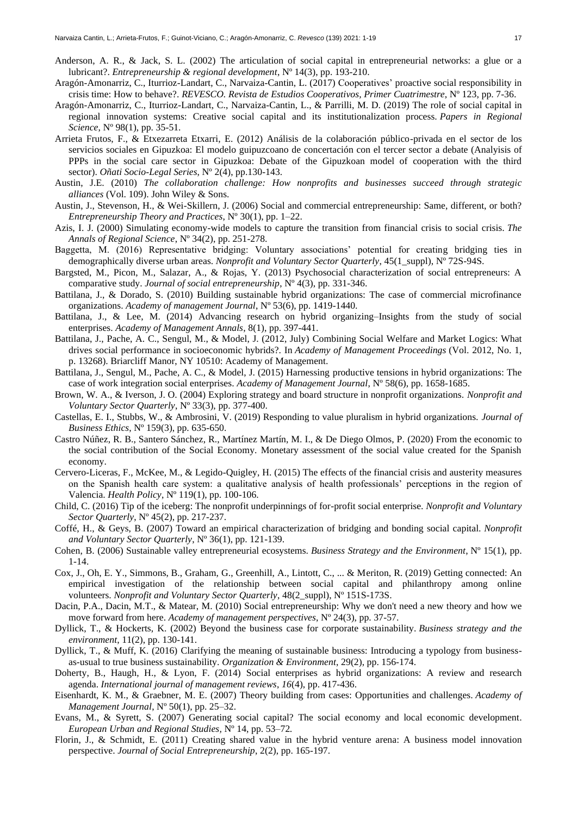- Anderson, A. R., & Jack, S. L. (2002) The articulation of social capital in entrepreneurial networks: a glue or a lubricant?. *Entrepreneurship & regional development*, Nº 14(3), pp. 193-210.
- Aragón-Amonarriz, C., Iturrioz-Landart, C., Narvaiza-Cantin, L. (2017) Cooperatives' proactive social responsibility in crisis time: How to behave?. *REVESCO. Revista de Estudios Cooperativos, Primer Cuatrimestre*, Nº 123, pp. 7-36.
- Aragón-Amonarriz, C., Iturrioz-Landart, C., Narvaiza-Cantin, L., & Parrilli, M. D. (2019) The role of social capital in regional innovation systems: Creative social capital and its institutionalization process. *Papers in Regional Science*, Nº 98(1), pp. 35-51.
- Arrieta Frutos, F., & Etxezarreta Etxarri, E. (2012) Análisis de la colaboración público-privada en el sector de los servicios sociales en Gipuzkoa: El modelo guipuzcoano de concertación con el tercer sector a debate (Analyisis of PPPs in the social care sector in Gipuzkoa: Debate of the Gipuzkoan model of cooperation with the third sector). *Oñati Socio-Legal Series*, Nº 2(4), pp.130-143.
- Austin, J.E. (2010) *The collaboration challenge: How nonprofits and businesses succeed through strategic alliances* (Vol. 109). John Wiley & Sons.
- Austin, J., Stevenson, H., & Wei-Skillern, J. (2006) Social and commercial entrepreneurship: Same, different, or both? *Entrepreneurship Theory and Practices*, Nº 30(1), pp. 1–22.
- Azis, I. J. (2000) Simulating economy-wide models to capture the transition from financial crisis to social crisis. *The Annals of Regional Science*, Nº 34(2), pp. 251-278.
- Baggetta, M. (2016) Representative bridging: Voluntary associations' potential for creating bridging ties in demographically diverse urban areas. *Nonprofit and Voluntary Sector Quarterly*, 45(1\_suppl), Nº 72S-94S.
- Bargsted, M., Picon, M., Salazar, A., & Rojas, Y. (2013) Psychosocial characterization of social entrepreneurs: A comparative study. *Journal of social entrepreneurship*, Nº 4(3), pp. 331-346.
- Battilana, J., & Dorado, S. (2010) Building sustainable hybrid organizations: The case of commercial microfinance organizations. *Academy of management Journal*, Nº 53(6), pp. 1419-1440.
- Battilana, J., & Lee, M. (2014) Advancing research on hybrid organizing–Insights from the study of social enterprises. *Academy of Management Annals*, 8(1), pp. 397-441.
- Battilana, J., Pache, A. C., Sengul, M., & Model, J. (2012, July) Combining Social Welfare and Market Logics: What drives social performance in socioeconomic hybrids?. In *Academy of Management Proceedings* (Vol. 2012, No. 1, p. 13268). Briarcliff Manor, NY 10510: Academy of Management.
- Battilana, J., Sengul, M., Pache, A. C., & Model, J. (2015) Harnessing productive tensions in hybrid organizations: The case of work integration social enterprises. *Academy of Management Journal*, Nº 58(6), pp. 1658-1685.
- Brown, W. A., & Iverson, J. O. (2004) Exploring strategy and board structure in nonprofit organizations. *Nonprofit and Voluntary Sector Quarterly*, Nº 33(3), pp. 377-400.
- Castellas, E. I., Stubbs, W., & Ambrosini, V. (2019) Responding to value pluralism in hybrid organizations. *Journal of Business Ethics*, Nº 159(3), pp. 635-650.
- Castro Núñez, R. B., Santero Sánchez, R., Martínez Martín, M. I., & De Diego Olmos, P. (2020) From the economic to the social contribution of the Social Economy. Monetary assessment of the social value created for the Spanish economy.
- Cervero-Liceras, F., McKee, M., & Legido-Quigley, H. (2015) The effects of the financial crisis and austerity measures on the Spanish health care system: a qualitative analysis of health professionals' perceptions in the region of Valencia. *Health Policy*, Nº 119(1), pp. 100-106.
- Child, C. (2016) Tip of the iceberg: The nonprofit underpinnings of for-profit social enterprise. *Nonprofit and Voluntary Sector Quarterly*, Nº 45(2), pp. 217-237.
- Coffé, H., & Geys, B. (2007) Toward an empirical characterization of bridging and bonding social capital. *Nonprofit and Voluntary Sector Quarterly*, Nº 36(1), pp. 121-139.
- Cohen, B. (2006) Sustainable valley entrepreneurial ecosystems. *Business Strategy and the Environment*, Nº 15(1), pp. 1-14.
- Cox, J., Oh, E. Y., Simmons, B., Graham, G., Greenhill, A., Lintott, C., ... & Meriton, R. (2019) Getting connected: An empirical investigation of the relationship between social capital and philanthropy among online volunteers. *Nonprofit and Voluntary Sector Quarterly*, 48(2\_suppl), Nº 151S-173S.
- Dacin, P.A., Dacin, M.T., & Matear, M. (2010) Social entrepreneurship: Why we don't need a new theory and how we move forward from here. *Academy of management perspectives*, Nº 24(3), pp. 37-57.
- Dyllick, T., & Hockerts, K. (2002) Beyond the business case for corporate sustainability. *Business strategy and the environment*, 11(2), pp. 130-141.
- Dyllick, T., & Muff, K. (2016) Clarifying the meaning of sustainable business: Introducing a typology from businessas-usual to true business sustainability. *Organization & Environment*, 29(2), pp. 156-174.
- Doherty, B., Haugh, H., & Lyon, F. (2014) Social enterprises as hybrid organizations: A review and research agenda. *International journal of management reviews*, *16*(4), pp. 417-436.
- Eisenhardt, K. M., & Graebner, M. E. (2007) Theory building from cases: Opportunities and challenges. *Academy of Management Journal*, Nº 50(1), pp. 25–32.
- Evans, M., & Syrett, S. (2007) Generating social capital? The social economy and local economic development. *European Urban and Regional Studies,* Nº 14, pp. 53*–*72*.*
- Florin, J., & Schmidt, E. (2011) Creating shared value in the hybrid venture arena: A business model innovation perspective. *Journal of Social Entrepreneurship*, 2(2), pp. 165-197.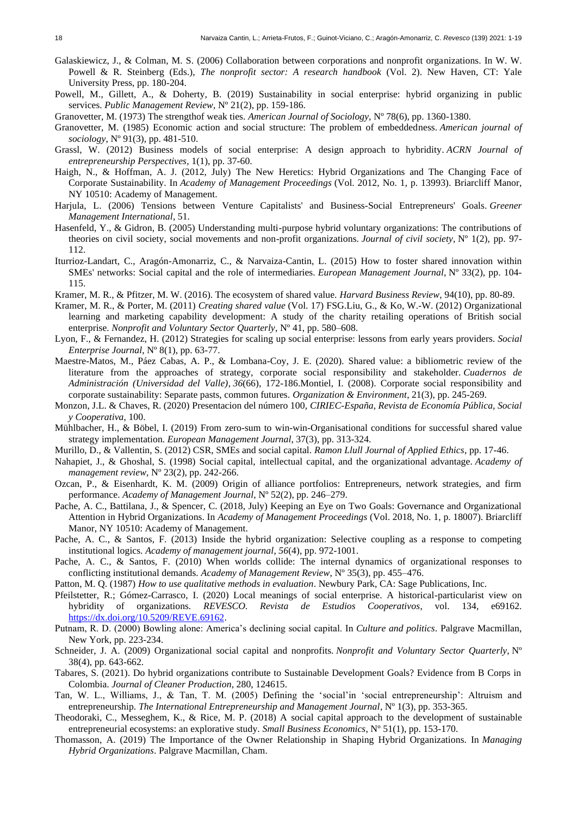- Galaskiewicz, J., & Colman, M. S. (2006) Collaboration between corporations and nonprofit organizations. In W. W. Powell & R. Steinberg (Eds.), *The nonprofit sector: A research handbook* (Vol. 2). New Haven, CT: Yale University Press, pp. 180-204.
- Powell, M., Gillett, A., & Doherty, B. (2019) Sustainability in social enterprise: hybrid organizing in public services. *Public Management Review*, Nº 21(2), pp. 159-186.
- Granovetter, M. (1973) The strengthof weak ties. *American Journal of Sociology,* Nº 78(6), pp. 1360-1380.
- Granovetter, M. (1985) Economic action and social structure: The problem of embeddedness. *American journal of sociology*, Nº 91(3), pp. 481-510.
- Grassl, W. (2012) Business models of social enterprise: A design approach to hybridity. *ACRN Journal of entrepreneurship Perspectives*, 1(1), pp. 37-60.
- Haigh, N., & Hoffman, A. J. (2012, July) The New Heretics: Hybrid Organizations and The Changing Face of Corporate Sustainability. In *Academy of Management Proceedings* (Vol. 2012, No. 1, p. 13993). Briarcliff Manor, NY 10510: Academy of Management.
- Harjula, L. (2006) Tensions between Venture Capitalists' and Business-Social Entrepreneurs' Goals. *Greener Management International*, 51.
- Hasenfeld, Y., & Gidron, B. (2005) Understanding multi-purpose hybrid voluntary organizations: The contributions of theories on civil society, social movements and non-profit organizations. *Journal of civil society*, Nº 1(2), pp. 97- 112.
- Iturrioz-Landart, C., Aragón-Amonarriz, C., & Narvaiza-Cantin, L. (2015) How to foster shared innovation within SMEs' networks: Social capital and the role of intermediaries. *European Management Journal*, Nº 33(2), pp. 104- 115.
- Kramer, M. R., & Pfitzer, M. W. (2016). The ecosystem of shared value. *Harvard Business Review*, 94(10), pp. 80-89.
- Kramer, M. R., & Porter, M. (2011) *Creating shared value* (Vol. 17) FSG.Liu, G., & Ko, W.-W. (2012) Organizational learning and marketing capability development: A study of the charity retailing operations of British social enterprise. *Nonprofit and Voluntary Sector Quarterly*, Nº 41, pp. 580–608.
- Lyon, F., & Fernandez, H. (2012) Strategies for scaling up social enterprise: lessons from early years providers. *Social Enterprise Journal*, Nº 8(1), pp. 63-77.
- Maestre-Matos, M., Páez Cabas, A. P., & Lombana-Coy, J. E. (2020). Shared value: a bibliometric review of the literature from the approaches of strategy, corporate social responsibility and stakeholder. *Cuadernos de Administración (Universidad del Valle)*, *36*(66), 172-186.Montiel, I. (2008). Corporate social responsibility and corporate sustainability: Separate pasts, common futures. *Organization & Environment*, 21(3), pp. 245-269.
- Monzon, J.L. & Chaves, R. (2020) Presentacion del número 100, *CIRIEC-España, Revista de Economía Pública, Social y Cooperativa*, 100.
- Mühlbacher, H., & Böbel, I. (2019) From zero-sum to win-win-Organisational conditions for successful shared value strategy implementation. *European Management Journal*, 37(3), pp. 313-324.
- Murillo, D., & Vallentin, S. (2012) CSR, SMEs and social capital. *Ramon Llull Journal of Applied Ethics*, pp. 17-46.
- Nahapiet, J., & Ghoshal, S. (1998) Social capital, intellectual capital, and the organizational advantage. *Academy of management review*, Nº 23(2), pp. 242-266.
- Ozcan, P., & Eisenhardt, K. M. (2009) Origin of alliance portfolios: Entrepreneurs, network strategies, and firm performance. *Academy of Management Journal*, Nº 52(2), pp. 246–279.
- Pache, A. C., Battilana, J., & Spencer, C. (2018, July) Keeping an Eye on Two Goals: Governance and Organizational Attention in Hybrid Organizations. In *Academy of Management Proceedings* (Vol. 2018, No. 1, p. 18007). Briarcliff Manor, NY 10510: Academy of Management.
- Pache, A. C., & Santos, F. (2013) Inside the hybrid organization: Selective coupling as a response to competing institutional logics. *Academy of management journal*, *56*(4), pp. 972-1001.
- Pache, A. C., & Santos, F. (2010) When worlds collide: The internal dynamics of organizational responses to conflicting institutional demands. *Academy of Management Review*, Nº 35(3), pp. 455–476.
- Patton, M. Q. (1987) *How to use qualitative methods in evaluation*. Newbury Park, CA: Sage Publications, Inc.
- Pfeilstetter, R.; Gómez-Carrasco, I. (2020) Local meanings of social enterprise. A historical-particularist view on hybridity of organizations. *REVESCO. Revista de Estudios Cooperativos*, vol. 134, e69162. https://dx.doi.org/10.5209/REVE.69162.
- Putnam, R. D. (2000) Bowling alone: America's declining social capital. In *Culture and politics*. Palgrave Macmillan, New York, pp. 223-234.
- Schneider, J. A. (2009) Organizational social capital and nonprofits. *Nonprofit and Voluntary Sector Quarterly*, N° 38(4), pp. 643-662.
- Tabares, S. (2021). Do hybrid organizations contribute to Sustainable Development Goals? Evidence from B Corps in Colombia. *Journal of Cleaner Production*, 280, 124615.
- Tan, W. L., Williams, J., & Tan, T. M. (2005) Defining the 'social'in 'social entrepreneurship': Altruism and entrepreneurship. *The International Entrepreneurship and Management Journal*, Nº 1(3), pp. 353-365.
- Theodoraki, C., Messeghem, K., & Rice, M. P. (2018) A social capital approach to the development of sustainable entrepreneurial ecosystems: an explorative study. *Small Business Economics*, Nº 51(1), pp. 153-170.
- Thomasson, A. (2019) The Importance of the Owner Relationship in Shaping Hybrid Organizations. In *Managing Hybrid Organizations*. Palgrave Macmillan, Cham.